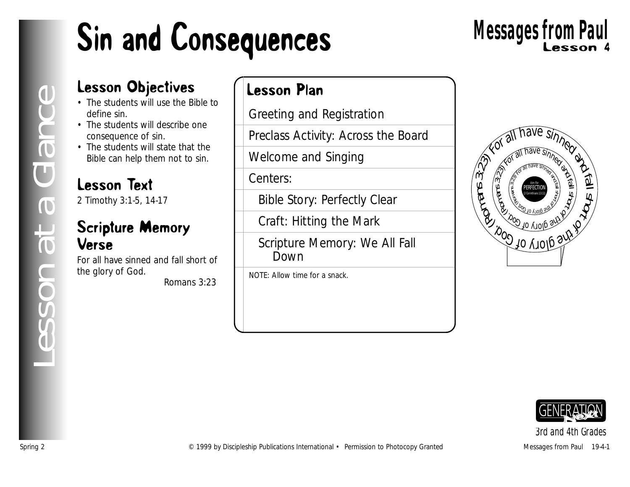# Sin and Consequences

# Lesson 4 **Messages from Paul**

#### Lesson Objectives

- The students will use the Bible to define sin.
- The students will describe one consequence of sin.
- The students will state that the Bible can help them not to sin.

#### Lesson Text

2 Timothy 3:1-5, 14-17

#### Scripture Memory Verse

For all have sinned and fall short of the glory of God.

*Romans 3:23*

#### Lesson Plan

Greeting and Registration

Preclass Activity: Across the Board

Welcome and Singing

Centers:

Bible Story: Perfectly Clear

Craft: Hitting the Mark

Scripture Memory: We All Fall Down

NOTE: Allow time for a snack.





*3rd and 4th Grades*

*Lesson at a Glance*

esson at a Glance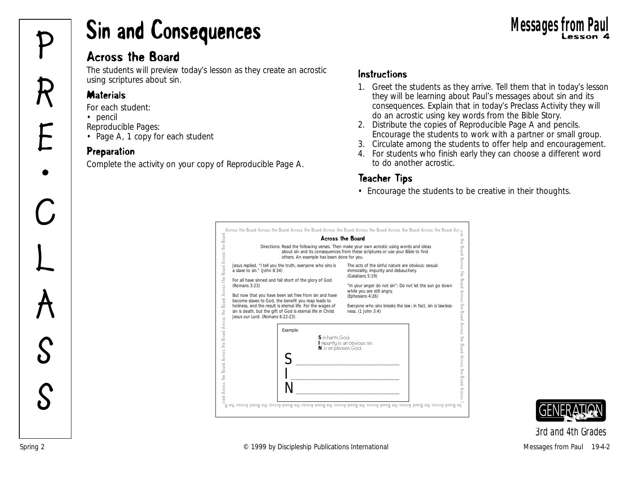# Sin and Consequences Lesson 4 **Messages from Paul P**

#### Across the Board

The students will preview today's lesson as they create an acrostic using scriptures about sin.

#### **Materials**

*For each student:*

- pencil
- *Reproducible Pages:*
- Page A, 1 copy for each student

#### Preparation

Complete the activity on your copy of Reproducible Page A.

#### **Instructions**

- 1. Greet the students as they arrive. Tell them that in today's lesson they will be learning about Paul's messages about sin and its consequences. Explain that in today's Preclass Activity they will do an acrostic using key words from the Bible Story.
- 2. Distribute the copies of Reproducible Page A and pencils. Encourage the students to work with a partner or small group.
- 3. Circulate among the students to offer help and encouragement.
- 4. For students who finish early they can choose a different word to do another acrostic.

#### Teacher Tips

• Encourage the students to be creative in their thoughts.





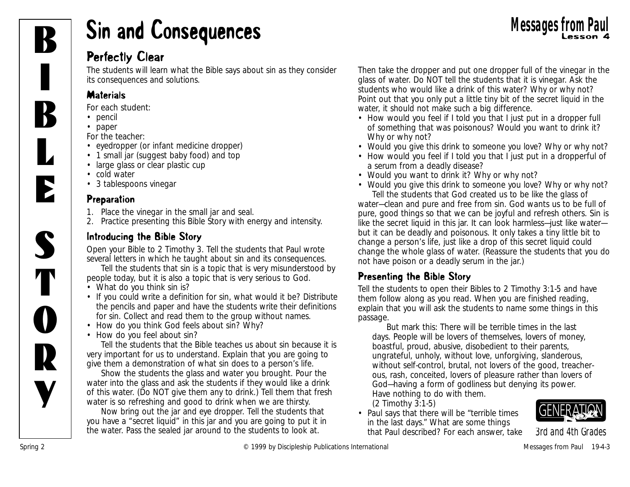

## **Sin and Consequences** Messages from Paul Ressages from Paul Bessier 4

#### Perfectly Clear

The students will learn what the Bible says about sin as they consider its consequences and solutions.

#### **Materials**

*For each student:*

- pencil
- paper

*For the teacher:*

- eyedropper (or infant medicine dropper)
- 1 small jar (suggest baby food) and top
- large glass or clear plastic cup
- cold water
- 3 tablespoons vinegar

#### Preparation

- 1. Place the vinegar in the small jar and seal.
- 2. Practice presenting this Bible Story with energy and intensity.

#### Introducing the Bible Story

Open your Bible to 2 Timothy 3. Tell the students that Paul wrote several letters in which he taught about sin and its consequences.

Tell the students that sin is a topic that is very misunderstood by people today, but it is also a topic that is very serious to God.

- *What do you think sin is?*
- If you could write a definition for sin, what would it be? Distribute the pencils and paper and have the students write their definitions for sin. Collect and read them to the group without names.
- *How do you think God feels about sin? Why?*
- *How do you feel about sin?*

Tell the students that the Bible teaches us about sin because it is very important for us to understand. Explain that you are going to give them a demonstration of what sin does to a person's life.

Show the students the glass and water you brought. Pour the water into the glass and ask the students if they would like a drink of this water. (Do NOT give them any to drink.) Tell them that fresh water is so refreshing and good to drink when we are thirsty.

Now bring out the jar and eye dropper. Tell the students that you have a "secret liquid" in this jar and you are going to put it in the water. Pass the sealed jar around to the students to look at.

Then take the dropper and put one dropper full of the vinegar in the glass of water. Do NOT tell the students that it is vinegar. Ask the students who would like a drink of this water? Why or why not? Point out that you only put a little tiny bit of the secret liquid in the water, it should not make such a big difference.

- *How would you feel if I told you that I just put in a dropper full of something that was poisonous? Would you want to drink it? Why or why not?*
- *Would you give this drink to someone you love? Why or why not?*
- *How would you feel if I told you that I just put in a dropperful of a serum from a deadly disease?*
- *Would you want to drink it? Why or why not?*
- *• Would you give this drink to someone you love? Why or why not?* Tell the students that God created us to be like the glass of

water—clean and pure and free from sin. *God wants us to be full of pure, good things so that we can be joyful and refresh others. Sin is like the secret liquid in this jar. It can look harmless—just like water but it can be deadly and poisonous. It only takes a tiny little bit to change a person's life, just like a drop of this secret liquid could change the whole glass of water.* (Reassure the students that you do not have poison or a deadly serum in the jar.)

#### Presenting the Bible Story

Tell the students to open their Bibles to 2 Timothy 3:1-5 and have them follow along as you read. When you are finished reading, explain that you will ask the students to name some things in this passage.

*But mark this: There will be terrible times in the last days. People will be lovers of themselves, lovers of money, boastful, proud, abusive, disobedient to their parents, ungrateful, unholy, without love, unforgiving, slanderous, without self-control, brutal, not lovers of the good, treacherous, rash, conceited, lovers of pleasure rather than lovers of God—having a form of godliness but denying its power. Have nothing to do with them.* 

*(2 Timothy 3:1-5)*

• *Paul says that there will be "terrible times in the last days." What are some things that Paul described?* For each answer, take

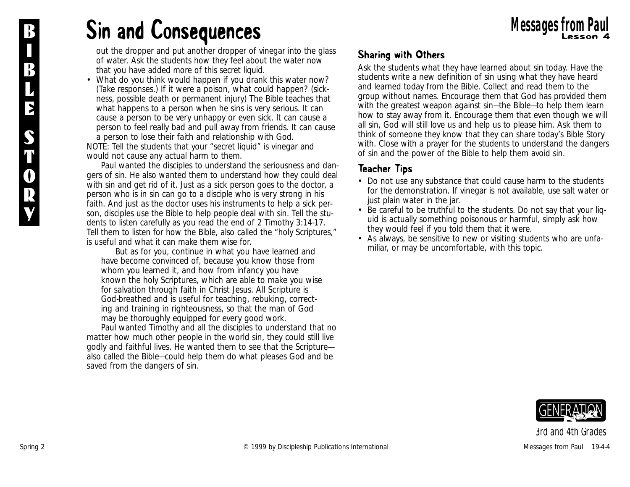### B **Sin and Consequences** Messages from Paul

out the dropper and put another dropper of vinegar into the glass of water. Ask the students how they feel about the water now that you have added more of this secret liquid.

• *What do you think would happen if you drank this water now?* (Take responses.) *If it were a poison, what could happen?* (sickness, possible death or permanent injury) *The Bible teaches that what happens to a person when he sins is very serious. It can cause a person to be very unhappy or even sick. It can cause a person to feel really bad and pull away from friends. It can cause a person to lose their faith and relationship with God.* NOTE: Tell the students that your "secret liquid" is vinegar and would not cause any actual harm to them.

*Paul wanted the disciples to understand the seriousness and dangers of sin. He also wanted them to understand how they could deal with sin and get rid of it. Just as a sick person goes to the doctor, a person who is in sin can go to a disciple who is very strong in his faith. And just as the doctor uses his instruments to help a sick person, disciples use the Bible to help people deal with sin.* Tell the students to listen carefully as you read the end of 2 Timothy 3:14-17. Tell them to listen for how the Bible, also called the "holy Scriptures," is useful and what it can make them wise for.

*But as for you, continue in what you have learned and have become convinced of, because you know those from whom you learned it, and how from infancy you have known the holy Scriptures, which are able to make you wise for salvation through faith in Christ Jesus. All Scripture is God-breathed and is useful for teaching, rebuking, correcting and training in righteousness, so that the man of God may be thoroughly equipped for every good work.* 

*Paul wanted Timothy and all the disciples to understand that no matter how much other people in the world sin, they could still live godly and faithful lives. He wanted them to see that the Scripture also called the Bible—could help them do what pleases God and be saved from the dangers of sin.*

#### Sharing with Others

Ask the students what they have learned about sin today. Have the students write a new definition of sin using what they have heard and learned today from the Bible. Collect and read them to the group without names. Encourage them that God has provided them with the greatest weapon against sin—the Bible—to help them learn how to stay away from it. Encourage them that even though we will all sin, God will still love us and help us to please him. Ask them to think of someone they know that they can share today's Bible Story with. Close with a prayer for the students to understand the dangers of sin and the power of the Bible to help them avoid sin.

#### Teacher Tips

- Do not use any substance that could cause harm to the students for the demonstration. If vinegar is not available, use salt water or just plain water in the jar.
- Be careful to be truthful to the students. Do not say that your liquid is actually something poisonous or harmful, simply ask how they would feel if you told them that it were.
- As always, be sensitive to new or visiting students who are unfamiliar, or may be uncomfortable, with this topic.

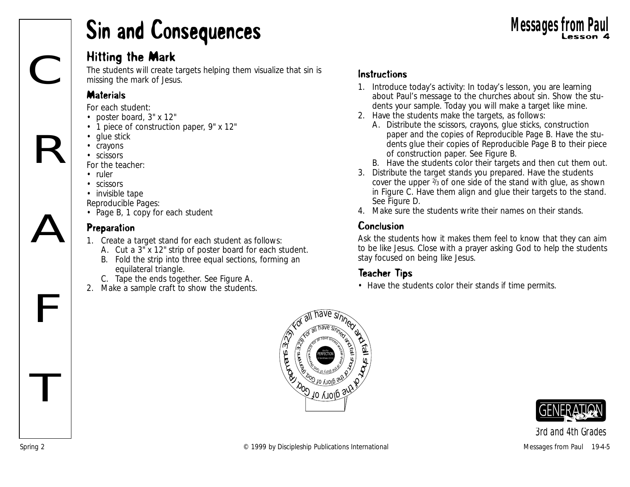### Sin and Consequences

#### Hitting the Mark

The students will create targets helping them visualize that sin is missing the mark of Jesus.

#### **Materials**

C

R

A

 $\mathbf{F}$ 

T

*For each student:*

- poster board, 3" x 12"
- 1 piece of construction paper, 9" x 12"
- glue stick
- crayons
- scissors

*For the teacher:*

- ruler
- scissors
- invisible tape

*Reproducible Pages:*

• Page B, 1 copy for each student

#### **Preparation**

- 1. Create a target stand for each student as follows:
	- A. Cut a 3" x 12" strip of poster board for each student.
	- B. Fold the strip into three equal sections, forming an equilateral triangle.
	- C. Tape the ends together. See Figure A.
- 2. Make a sample craft to show the students.

#### **Instructions**

- 1. Introduce today's activity: *In today's lesson, you are learning about Paul's message to the churches about sin. Show the students your sample. Today you will make a target like mine.*
- 2. Have the students make the targets, as follows:
	- A. Distribute the scissors, crayons, glue sticks, construction paper and the copies of Reproducible Page B. Have the students glue their copies of Reproducible Page B to their piece of construction paper. See Figure B.
	- B. Have the students color their targets and then cut them out.
- 3. Distribute the target stands you prepared. Have the students cover the upper 2/3 of one side of the stand with glue, as shown in Figure C. Have them align and glue their targets to the stand. See Figure D.
- 4. Make sure the students write their names on their stands.

#### Conclusion

Ask the students how it makes them feel to know that they can aim to be like Jesus. Close with a prayer asking God to help the students stay focused on being like Jesus.

#### Teacher Tips

• Have the students color their stands if time permits.





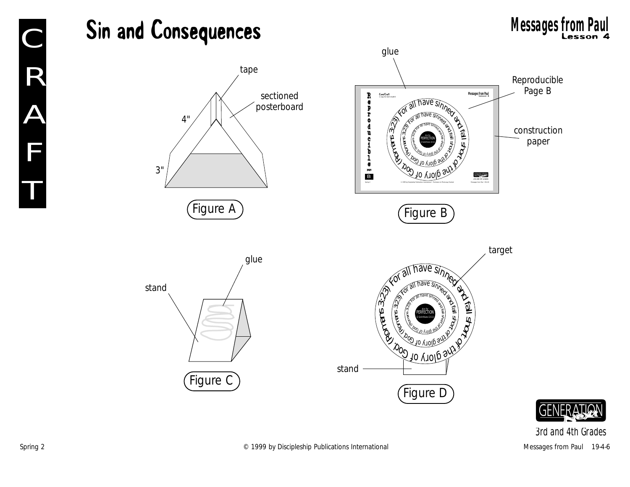

**GENERA**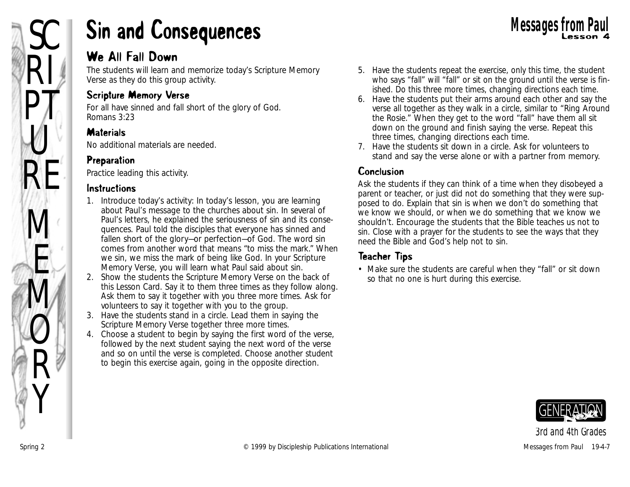

### Sin and Consequences **Example 1998** Messages from Paul Messages from Paul

#### We All Fall Down

The students will learn and memorize today's Scripture Memory Verse as they do this group activity.

#### Scripture Memory Verse

For all have sinned and fall short of the glory of God. *Romans 3:23*

#### **Materials**

No additional materials are needed.

#### Preparation

Practice leading this activity.

#### Instructions

- 1. Introduce today's activity: *In today's lesson, you are learning about Paul's message to the churches about sin. In several of Paul's letters, he explained the seriousness of sin and its consequences. Paul told the disciples that everyone has sinned and fallen short of the glory—or perfection—of God. The word sin comes from another word that means "to miss the mark." When we sin, we miss the mark of being like God. In your Scripture Memory Verse, you will learn what Paul said about sin.*
- 2. Show the students the Scripture Memory Verse on the back of this Lesson Card. Say it to them three times as they follow along. Ask them to say it together with you three more times. Ask for volunteers to say it together with you to the group.
- 3. Have the students stand in a circle. Lead them in saying the Scripture Memory Verse together three more times.
- 4. Choose a student to begin by saying the first word of the verse, followed by the next student saying the next word of the verse and so on until the verse is completed. Choose another student to begin this exercise again, going in the opposite direction.
- 5. Have the students repeat the exercise, only this time, the student who says "fall" will "fall" or sit on the ground until the verse is finished. Do this three more times, changing directions each time.
- 6. Have the students put their arms around each other and say the verse all together as they walk in a circle, similar to "Ring Around the Rosie." When they get to the word "fall" have them all sit down on the ground and finish saying the verse. Repeat this three times, changing directions each time.
- 7. Have the students sit down in a circle. Ask for volunteers to stand and say the verse alone or with a partner from memory.

#### Conclusion

Ask the students if they can think of a time when they disobeyed a parent or teacher, or just did not do something that they were supposed to do. Explain that sin is when we don't do something that we know we should, or when we do something that we know we shouldn't. Encourage the students that the Bible teaches us not to sin. Close with a prayer for the students to see the ways that they need the Bible and God's help not to sin.

#### Teacher Tips

• Make sure the students are careful when they "fall" or sit down so that no one is hurt during this exercise.

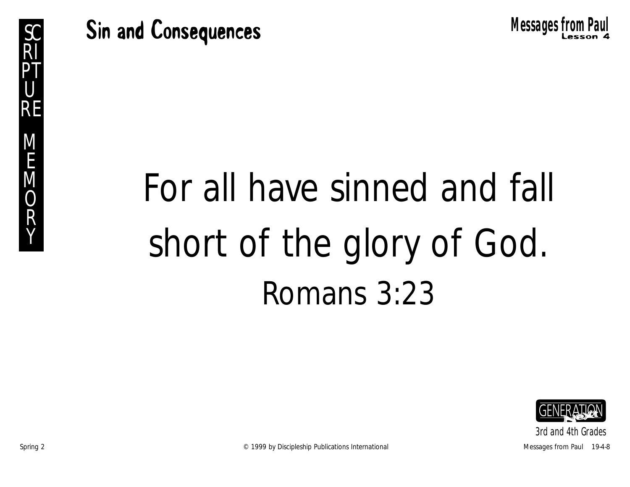Sc Sin and Consequences **Example 1998** Messages from Paul



# For all have sinned and fall short of the glory of God. Romans 3:23

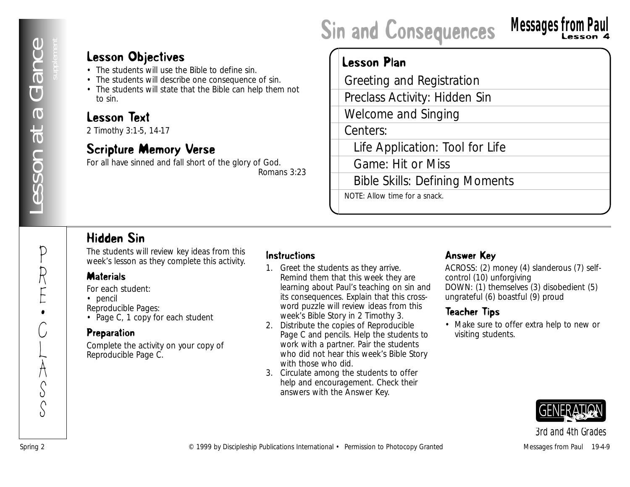### Sin and Consequences

### **Messages from Paul**

#### Lesson Objectives

- The students will use the Bible to define sin.
- The students will describe one consequence of sin.
- The students will state that the Bible can help them not to sin.

#### Lesson Text

2 Timothy 3:1-5, 14-17

#### Scripture Memory Verse

For all have sinned and fall short of the glory of God. *Romans 3:23*

#### Lesson Plan

**Lesson Objectives**<br>
• The numbers will develop the most of the most publication<br>
• The numbers from The Blue Control of the Spring Publication<br> **Lesson Test**<br> **Control of the Permission Test**<br> **Control of the Publication** Greeting and Registration Preclass Activity: Hidden Sin Welcome and Singing Centers: Life Application: Tool for Life Game: Hit or Miss Bible Skills: Defining Moments NOTE: Allow time for a snack.

#### Hidden Sin

The students will review key ideas from this week's lesson as they complete this activity.

#### **Materials**

*For each student:*

• pencil

*Reproducible Pages:*

• Page C, 1 copy for each student

#### Preparation

Complete the activity on your copy of Reproducible Page C.

#### Instructions

- 1. Greet the students as they arrive. Remind them that this week they are learning about Paul's teaching on sin and its consequences. Explain that this crossword puzzle will review ideas from this week's Bible Story in 2 Timothy 3.
- 2. Distribute the copies of Reproducible Page C and pencils. Help the students to work with a partner. Pair the students who did not hear this week's Bible Story with those who did.
- 3. Circulate among the students to offer help and encouragement. Check their answers with the Answer Key.

#### Answer Key

ACROSS: (2) money (4) slanderous (7) selfcontrol (10) unforgiving DOWN: (1) themselves (3) disobedient (5) ungrateful (6) boastful (9) proud

#### Teacher Tips

• Make sure to offer extra help to new or visiting students.

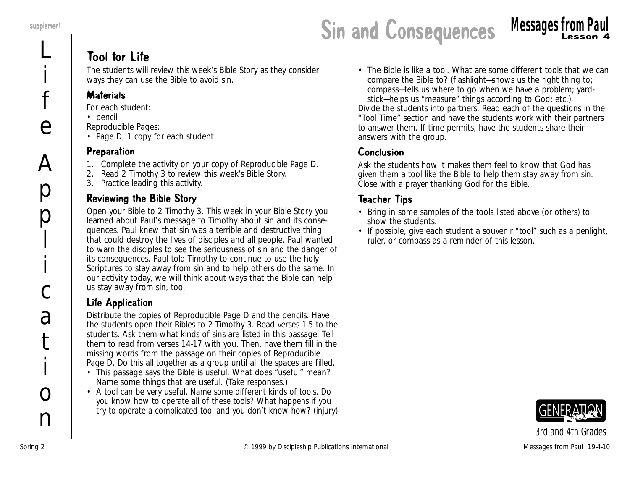L

i

f

e

 $\overline{\mathsf{A}}$ 

p

p

l

i

c

a

t

i

 $\Omega$ 

n

### supplement<br> **Sin and Consequences Messages from Paul**<br> **Sin and Consequences Messages from Paul**

#### Tool for Life

The students will review this week's Bible Story as they consider ways they can use the Bible to avoid sin.

#### **Materials**

*For each student:*

- pencil
- *Reproducible Pages:*
- Page D, 1 copy for each student

#### Preparation

- 1. Complete the activity on your copy of Reproducible Page D.
- 2. Read 2 Timothy 3 to review this week's Bible Story.
- 3. Practice leading this activity.

#### Reviewing the Bible Story

Open your Bible to 2 Timothy 3. *This week in your Bible Story you learned about Paul's message to Timothy about sin and its consequences. Paul knew that sin was a terrible and destructive thing that could destroy the lives of disciples and all people. Paul wanted to warn the disciples to see the seriousness of sin and the danger of its consequences. Paul told Timothy to continue to use the holy Scriptures to stay away from sin and to help others do the same. In our activity today, we will think about ways that the Bible can help us stay away from sin, too.* 

#### Life Application

Distribute the copies of Reproducible Page D and the pencils. Have the students open their Bibles to 2 Timothy 3. Read verses 1-5 to the students. Ask them what kinds of sins are listed in this passage. Tell them to read from verses 14-17 with you. Then, have them fill in the missing words from the passage on their copies of Reproducible Page D. Do this all together as a group until all the spaces are filled.

- *This passage says the Bible is useful. What does "useful" mean? Name some things that are useful.* (Take responses.)
- *A tool can be very useful. Name some different kinds of tools. Do you know how to operate all of these tools? What happens if you try to operate a complicated tool and you don't know how?* (injury)

• *The Bible is like a tool. What are some different tools that we can compare the Bible to?* (flashlight—shows us the right thing to; compass—tells us where to go when we have a problem; yardstick—helps us "measure" things according to God; etc.)

Divide the students into partners. Read each of the questions in the "Tool Time" section and have the students work with their partners to answer them. If time permits, have the students share their answers with the group.

#### Conclusion

Ask the students how it makes them feel to know that God has given them a tool like the Bible to help them stay away from sin. Close with a prayer thanking God for the Bible.

#### Teacher Tips

- Bring in some samples of the tools listed above (or others) to show the students.
- If possible, give each student a souvenir "tool" such as a penlight, ruler, or compass as a reminder of this lesson.

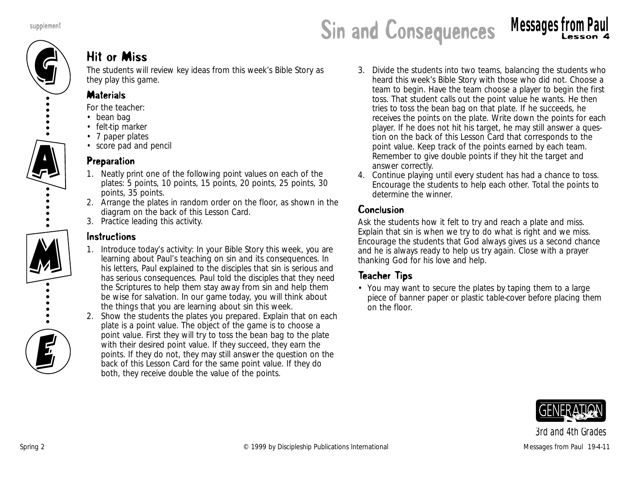

#### Hit or Miss

The students will review key ideas from this week's Bible Story as they play this game.

#### **Materials**

*For the teacher:*

- bean bag
- felt-tip marker
- 7 paper plates
- score pad and pencil

#### Preparation

- 1. Neatly print one of the following point values on each of the plates: 5 points, 10 points, 15 points, 20 points, 25 points, 30 points, 35 points.
- 2. Arrange the plates in random order on the floor, as shown in the diagram on the back of this Lesson Card.
- 3. Practice leading this activity.

#### Instructions

- 1. Introduce today's activity: *In your Bible Story this week, you are learning about Paul's teaching on sin and its consequences. In his letters, Paul explained to the disciples that sin is serious and has serious consequences. Paul told the disciples that they need the Scriptures to help them stay away from sin and help them be wise for salvation. In our game today, you will think about the things that you are learning about sin this week.*
- 2. Show the students the plates you prepared. Explain that on each plate is a point value. The object of the game is to choose a point value. First they will try to toss the bean bag to the plate with their desired point value. If they succeed, they earn the points. If they do not, they may still answer the question on the back of this Lesson Card for the same point value. If they do both, they receive double the value of the points.
- 3. Divide the students into two teams, balancing the students who heard this week's Bible Story with those who did not. Choose a team to begin. Have the team choose a player to begin the first toss. That student calls out the point value he wants. He then tries to toss the bean bag on that plate. If he succeeds, he receives the points on the plate. Write down the points for each player. If he does not hit his target, he may still answer a question on the back of this Lesson Card that corresponds to the point value. Keep track of the points earned by each team. Remember to give double points if they hit the target and answer correctly.
- 4. Continue playing until every student has had a chance to toss. Encourage the students to help each other. Total the points to determine the winner.

#### Conclusion

Ask the students how it felt to try and reach a plate and miss. Explain that sin is when we try to do what is right and we miss. Encourage the students that God always gives us a second chance and he is always ready to help us try again. Close with a prayer thanking God for his love and help.

#### Teacher Tips

• You may want to secure the plates by taping them to a large piece of banner paper or plastic table-cover before placing them on the floor.

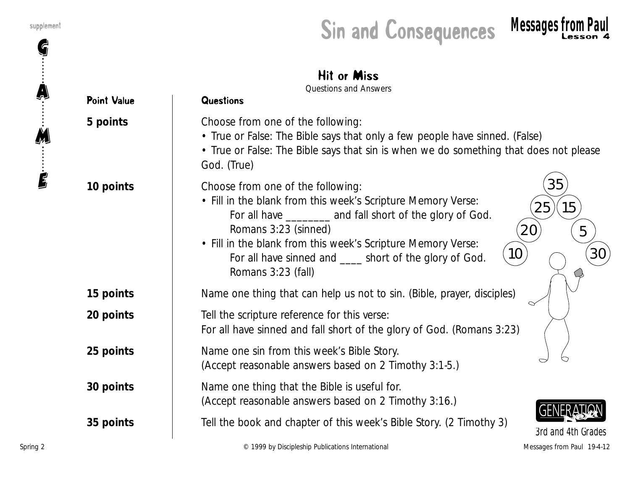G

A

M

E



**15 points** Name one thing that can help us not to sin. (Bible, prayer, disciples)

**20 points** Tell the scripture reference for this verse:

For all have sinned and fall short of the glory of God. (Romans 3:23)

**25 points** Name one sin from this week's Bible Story. (Accept reasonable answers based on 2 Timothy 3:1-5.)

**30 points** | Name one thing that the Bible is useful for. (Accept reasonable answers based on 2 Timothy 3:16.)

**35 points** Tell the book and chapter of this week's Bible Story. (2 Timothy 3)



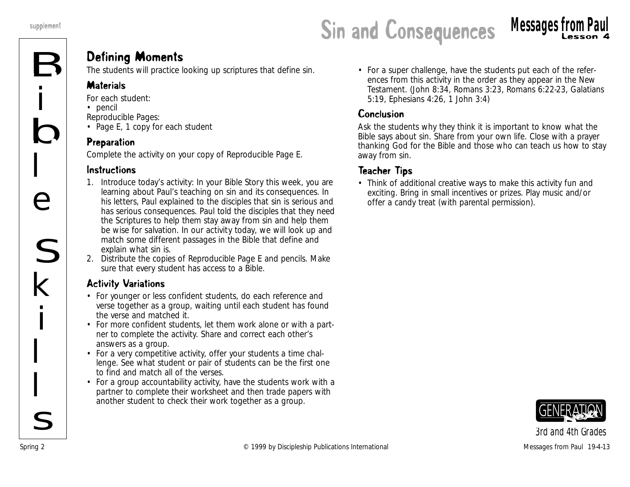### supplement **Sin and Consequences** Messages from Paul Sin and Consequences Messages from Paul

#### Defining Moments

The students will practice looking up scriptures that define sin.

#### **Materials**

*For each student:*

• pencil

*Reproducible Pages:*

• Page E, 1 copy for each student

#### Preparation

Complete the activity on your copy of Reproducible Page E.

#### **Instructions**

- 1. Introduce today's activity: *In your Bible Story this week, you are learning about Paul's teaching on sin and its consequences. In his letters, Paul explained to the disciples that sin is serious and has serious consequences. Paul told the disciples that they need the Scriptures to help them stay away from sin and help them be wise for salvation. In our activity today, we will look up and match some different passages in the Bible that define and explain what sin is.*
- 2. Distribute the copies of Reproducible Page E and pencils. Make sure that every student has access to a Bible.

#### Activity Variations

- For younger or less confident students, do each reference and verse together as a group, waiting until each student has found the verse and matched it.
- For more confident students, let them work alone or with a partner to complete the activity. Share and correct each other's answers as a group.
- For a very competitive activity, offer your students a time challenge. See what student or pair of students can be the first one to find and match all of the verses.
- For a group accountability activity, have the students work with a partner to complete their worksheet and then trade papers with another student to check their work together as a group.

• For a super challenge, have the students put each of the references from this activity in the order as they appear in the New Testament. (John 8:34, Romans 3:23, Romans 6:22-23, Galatians 5:19, Ephesians 4:26, 1 John 3:4)

#### **Conclusion**

Ask the students why they think it is important to know what the Bible says about sin. Share from your own life. Close with a prayer thanking God for the Bible and those who can teach us how to stay away from sin.

#### Teacher Tips

• Think of additional creative ways to make this activity fun and exciting. Bring in small incentives or prizes. Play music and/or offer a candy treat (with parental permission).

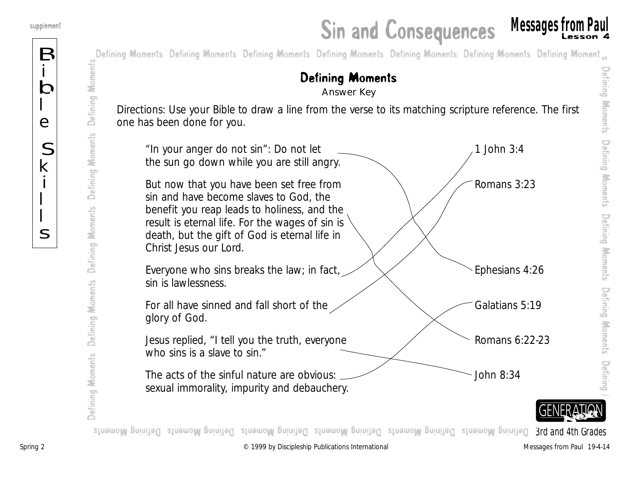B

i

b

l

e

S

k

i

 $\overline{\mathsf{L}}$ 

 $\overline{\mathsf{L}}$ 

s

Defining Moments Answer Key



 Defining Moments Defining Moments Defining $\overline{\phantom{0}}$ 

Defining Moments

Defining Moments

prog **qit Dafe De**fining Moments Defining Moments Defining Moments Defining Moments Defining States of the Grade Moments States Moments *3rd and 4th Grades*

Defining Moments Defining Moments Defining Moments Defining Moments Defining Moments

Defining Moments

Defining Moments

Defining Moments

Defining Moments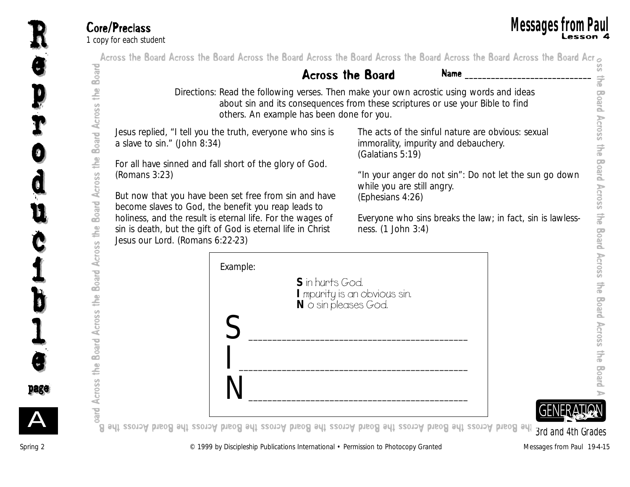| Board                             |                                                                                                                                                                                                                         | <b>Across the Board</b>                                                                                       | <b>Name</b>                                                |
|-----------------------------------|-------------------------------------------------------------------------------------------------------------------------------------------------------------------------------------------------------------------------|---------------------------------------------------------------------------------------------------------------|------------------------------------------------------------|
| Board Across the                  | Directions: Read the following verses. Then make your own acrostic using words and ideas<br>about sin and its consequences from these scriptures or use your Bible to find<br>others. An example has been done for you. |                                                                                                               |                                                            |
|                                   | Jesus replied, "I tell you the truth, everyone who sins is<br>a slave to sin." (John 8:34)<br>For all have sinned and fall short of the glory of God.                                                                   | The acts of the sinful nature are obvious: sexual<br>immorality, impurity and debauchery.<br>(Galatians 5:19) |                                                            |
| Board Across the                  | (Romans 3:23)<br>But now that you have been set free from sin and have                                                                                                                                                  | while you are still angry.<br>(Ephesians 4:26)                                                                | "In your anger do not sin": Do not let the sun go down     |
|                                   | become slaves to God, the benefit you reap leads to<br>holiness, and the result is eternal life. For the wages of<br>sin is death, but the gift of God is eternal life in Christ<br>Jesus our Lord. (Romans 6:22-23)    | ness. (1 John 3:4)                                                                                            | Everyone who sins breaks the law; in fact, sin is lawless- |
| Board Across the Board Across the | Example:<br>S in hurts God.<br>N o sin pleases God.                                                                                                                                                                     | I mpurity is an obvious sin.                                                                                  |                                                            |
| e4)                               |                                                                                                                                                                                                                         |                                                                                                               |                                                            |
| Across                            |                                                                                                                                                                                                                         |                                                                                                               |                                                            |

R

u u

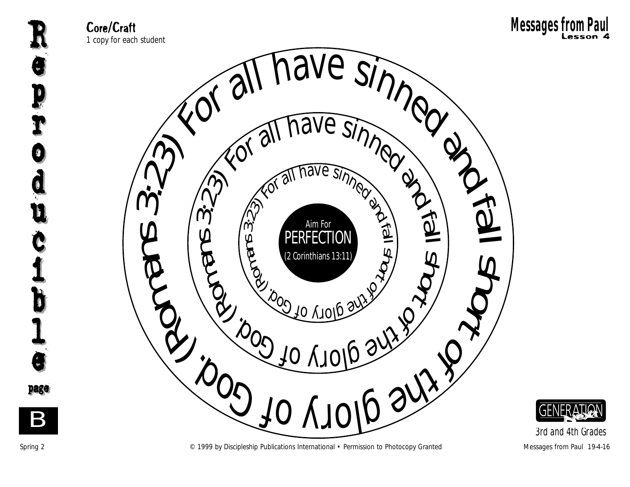







*3rd and 4th Grades*



Spring 2 **Example 2** C 1999 by Discipleship Publications International • Permission to Photocopy Granted Messages from Paul 19-4-16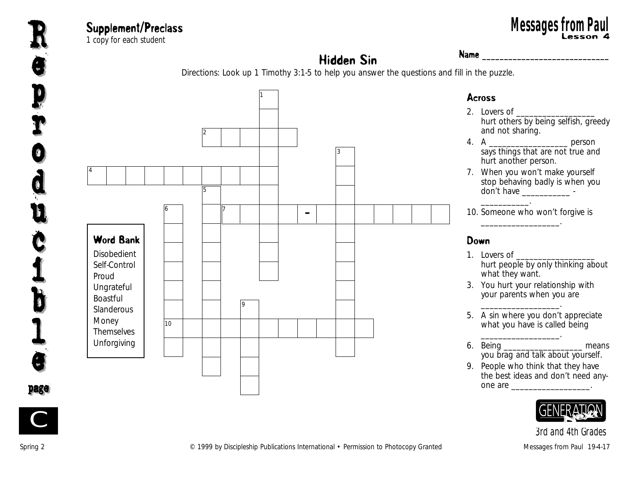

#### Supplement/Preclass 1 copy for each student Lesson 4 **Messages from Paul**<br>
The sach student and the sach student and the sach of the sach of the sach of the sach of the sach of the sach<br> **Mame**

#### Hidden Sin Name <u>**Name** 2008</u>

Directions: Look up 1 Timothy 3:1-5 to help you answer the questions and fill in the puzzle.





*3rd and 4th Grades*

C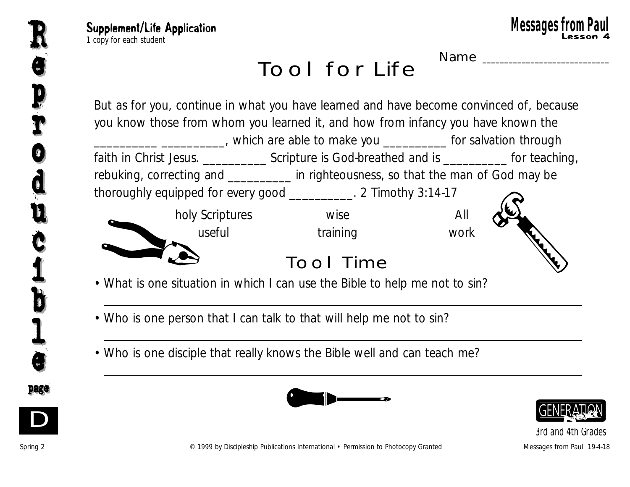

NAME

Tool for Life

But as for you, continue in what you have learned and have become convinced of, because you know those from whom you learned it, and how from infancy you have known the \_\_\_\_\_\_\_\_\_\_\_\_\_\_\_\_\_\_\_\_\_\_\_\_\_\_\_\_, which are able to make you \_\_\_\_\_\_\_\_\_\_\_\_\_ for salvation through faith in Christ Jesus. \_\_\_\_\_\_\_\_\_\_\_\_\_\_ Scripture is God-breathed and is \_\_\_\_\_\_\_\_\_\_\_ for teaching, rebuking, correcting and \_\_\_\_\_\_\_\_\_\_ in righteousness, so that the man of God may be thoroughly equipped for every good \_\_\_\_\_\_\_\_\_\_. 2 Timothy 3:14-17 holy Scriptures wise wise All useful training work TOOL TIME

• What is one situation in which I can use the Bible to help me not to sin?

- Who is one person that I can talk to that will help me not to sin?
- Who is one disciple that really knows the Bible well and can teach me?





*3rd and 4th Grades*



D